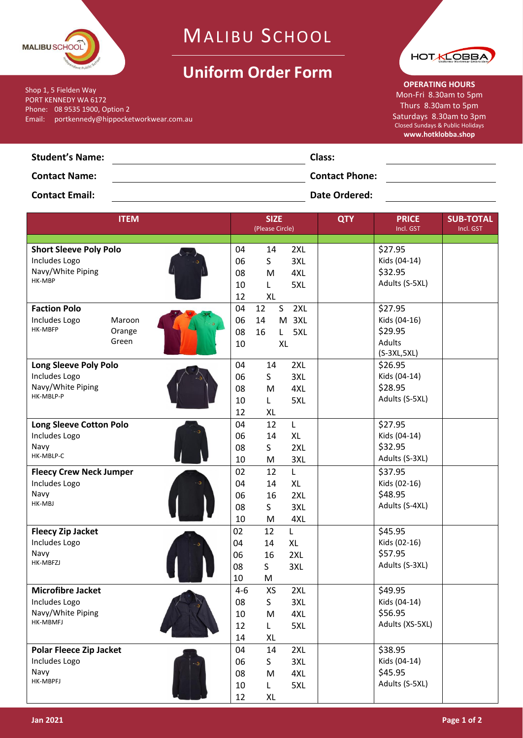

Email: portkennedy@hippocketworkwear.com.au

Shop 1, 5 Fielden Way PORT KENNEDY WA 6172 Phone: 08 9535 1900, Option 2

## MALIBU SCHOOL

## **Uniform Order Form**



**OPERATING HOURS** Mon-Fri 8.30am to 5pm Thurs 8.30am to 5pm Saturdays 8.30am to 3pm Closed Sundays & Public Holidays **www.hotklobba.shop**

|                        |                       | www.nothopp |
|------------------------|-----------------------|-------------|
| <b>Student's Name:</b> | Class:                |             |
| <b>Contact Name:</b>   | <b>Contact Phone:</b> |             |
|                        |                       |             |

**Contact Email: Date Ordered: Date Ordered: Date Ordered: Date Ordered: Date Ordered:** 

| <b>ITEM</b>                                                                     |                           |                                 | <b>SIZE</b><br>(Please Circle)  |                                 | <b>QTY</b> | <b>PRICE</b><br>Incl. GST                                            | <b>SUB-TOTAL</b><br>Incl. GST |
|---------------------------------------------------------------------------------|---------------------------|---------------------------------|---------------------------------|---------------------------------|------------|----------------------------------------------------------------------|-------------------------------|
| <b>Short Sleeve Poly Polo</b><br>Includes Logo<br>Navy/White Piping<br>HK-MBP   |                           | 04<br>06<br>08<br>10<br>12      | 14<br>S.<br>M<br>L<br><b>XL</b> | 2XL<br>3XL<br>4XL<br>5XL        |            | \$27.95<br>Kids (04-14)<br>\$32.95<br>Adults (S-5XL)                 |                               |
| <b>Faction Polo</b><br>Includes Logo<br>HK-MBFP                                 | Maroon<br>Orange<br>Green | 04<br>06<br>08<br>10            | 12<br>S<br>14<br>16             | 2XL<br>M 3XL<br>5XL<br>L.<br>XL |            | \$27.95<br>Kids (04-16)<br>\$29.95<br><b>Adults</b><br>$(S-3XL,5XL)$ |                               |
| <b>Long Sleeve Poly Polo</b><br>Includes Logo<br>Navy/White Piping<br>HK-MBLP-P |                           | 04<br>06<br>08<br>10<br>12      | 14<br>S.<br>M<br>L<br>XL        | 2XL<br>3XL<br>4XL<br>5XL        |            | \$26.95<br>Kids (04-14)<br>\$28.95<br>Adults (S-5XL)                 |                               |
| Long Sleeve Cotton Polo<br>Includes Logo<br>Navy<br>HK-MBLP-C                   |                           | 04<br>06<br>08<br>10            | 12<br>14<br>S<br>M              | L<br><b>XL</b><br>2XL<br>3XL    |            | \$27.95<br>Kids (04-14)<br>\$32.95<br>Adults (S-3XL)                 |                               |
| <b>Fleecy Crew Neck Jumper</b><br>Includes Logo<br>Navy<br>HK-MBJ               |                           | 02<br>04<br>06<br>08<br>10      | 12<br>14<br>16<br>S<br>M        | Г<br>XL<br>2XL<br>3XL<br>4XL    |            | \$37.95<br>Kids (02-16)<br>\$48.95<br>Adults (S-4XL)                 |                               |
| <b>Fleecy Zip Jacket</b><br>Includes Logo<br>Navy<br>HK-MBFZJ                   |                           | 02<br>04<br>06<br>08<br>10      | 12<br>14<br>16<br>S<br>M        | Г<br>XL<br>2XL<br>3XL           |            | \$45.95<br>Kids (02-16)<br>\$57.95<br>Adults (S-3XL)                 |                               |
| <b>Microfibre Jacket</b><br>Includes Logo<br>Navy/White Piping<br>HK-MBMFJ      |                           | $4 - 6$<br>08<br>10<br>12<br>14 | XS<br>S<br>M<br>L<br>XL         | 2XL<br>3XL<br>4XL<br>5XL        |            | \$49.95<br>Kids (04-14)<br>\$56.95<br>Adults (XS-5XL)                |                               |
| <b>Polar Fleece Zip Jacket</b><br>Includes Logo<br>Navy<br>HK-MBPFJ             |                           | 04<br>06<br>08<br>10<br>12      | 14<br>S.<br>M<br>L<br>XL        | 2XL<br>3XL<br>4XL<br>5XL        |            | \$38.95<br>Kids (04-14)<br>\$45.95<br>Adults (S-5XL)                 |                               |